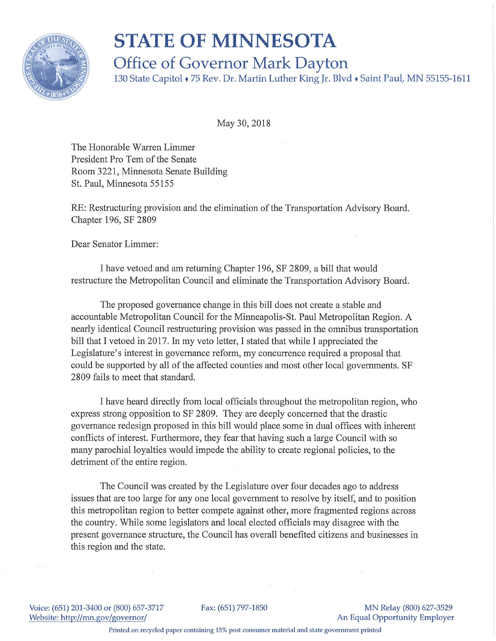

## **STATE OF MINNESOTA**

**Office of Governor Mark Dayton** 

130 State Capitol • 75 Rev. Dr. Martin Luther King Jr. Blvd • Saint Paul, MN 55155-1611

May 30, 2018

The Honorable Warren Limmer President Pro Tem of the Senate Room 3221, Minnesota Senate Building St. Paul, Minnesota 55155

RE: Restructuring provision and the elimination of the Transportation Advisory Board. Chapter 196, SF 2809

Dear Senator Limmer:

I have vetoed and am returning Chapter 196, SF 2809, a bill that would restructure the Metropolitan Council and eliminate the Transportation Advisory Board.

The proposed governance change in this bill does not create a stable and accountable Metropolitan Council for the Minneapolis-St. Paul Metropolitan Region. A nearly identical Council restructuring provision was passed in the omnibus transportation bill that I vetoed in 2017. In my veto letter, I stated that while I appreciated the Legislature's interest in governance reform, my concurrence required a proposal that could be supported by all of the affected counties and most other local governments. SF 2809 fails to meet that standard.

I have heard directly from local officials throughout the metropolitan region, who express strong opposition to SF 2809. They are deeply concerned that the drastic governance redesign proposed in this bill would place some in dual offices with inherent conflicts of interest. Furthermore, they fear that having such a large Council with so many parochial loyalties would impede the ability to create regional policies, to the detriment of the entire region.

The Council was created by the Legislature over four decades ago to address issues that are too large for any one local government to resolve by itself, and to position this metropolitan region to better compete against other, more fragmented regions across the country. While some legislators and local elected officials may disagree with the present governance structure, the Council has overall benefited citizens and businesses in this region and the state.

Voice: (651) 201-3400 or (800) 657-3717 Website: http://mn.gov/governor/

Fax: (651) 797-1850 MN Relay (800) 627-3529 An Equal Opportunity Employer